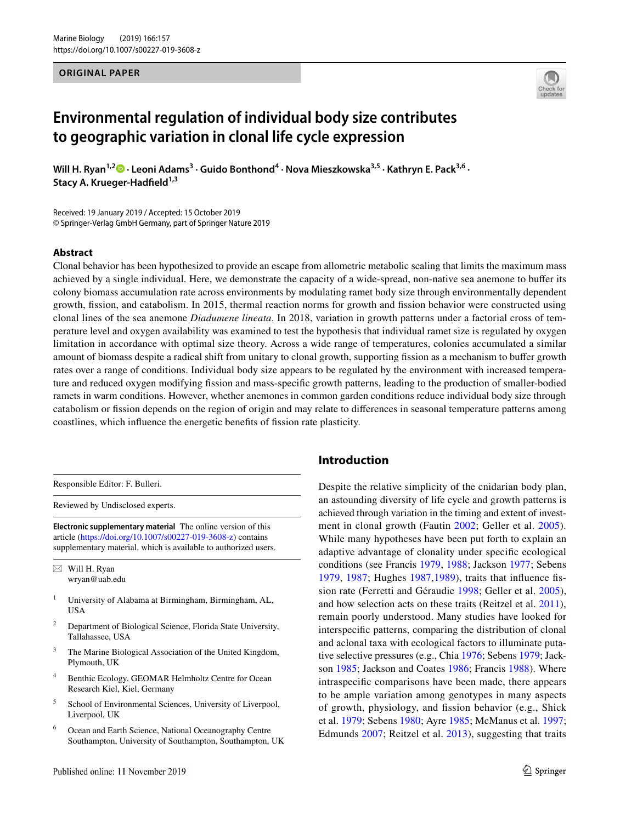#### **ORIGINAL PAPER**



# **Environmental regulation of individual body size contributes to geographic variation in clonal life cycle expression**

Will H. Ryan<sup>1,2</sup> • Leoni Adams<sup>3</sup> [·](http://orcid.org/0000-0002-4294-5454) Guido Bonthond<sup>4</sup> · Nova Mieszkowska<sup>3,5</sup> · Kathryn E. Pack<sup>3,6</sup> · **Stacy A. Krueger‑Hadfeld1,3**

Received: 19 January 2019 / Accepted: 15 October 2019 © Springer-Verlag GmbH Germany, part of Springer Nature 2019

#### **Abstract**

Clonal behavior has been hypothesized to provide an escape from allometric metabolic scaling that limits the maximum mass achieved by a single individual. Here, we demonstrate the capacity of a wide-spread, non-native sea anemone to bufer its colony biomass accumulation rate across environments by modulating ramet body size through environmentally dependent growth, fssion, and catabolism. In 2015, thermal reaction norms for growth and fssion behavior were constructed using clonal lines of the sea anemone *Diadumene lineata*. In 2018, variation in growth patterns under a factorial cross of temperature level and oxygen availability was examined to test the hypothesis that individual ramet size is regulated by oxygen limitation in accordance with optimal size theory. Across a wide range of temperatures, colonies accumulated a similar amount of biomass despite a radical shift from unitary to clonal growth, supporting fssion as a mechanism to bufer growth rates over a range of conditions. Individual body size appears to be regulated by the environment with increased temperature and reduced oxygen modifying fssion and mass-specifc growth patterns, leading to the production of smaller-bodied ramets in warm conditions. However, whether anemones in common garden conditions reduce individual body size through catabolism or fssion depends on the region of origin and may relate to diferences in seasonal temperature patterns among coastlines, which infuence the energetic benefts of fssion rate plasticity.

Responsible Editor: F. Bulleri.

Reviewed by Undisclosed experts.

**Electronic supplementary material** The online version of this article [\(https://doi.org/10.1007/s00227-019-3608-z](https://doi.org/10.1007/s00227-019-3608-z)) contains supplementary material, which is available to authorized users.

 $\boxtimes$  Will H. Ryan wryan@uab.edu

- <sup>1</sup> University of Alabama at Birmingham, Birmingham, AL, USA
- <sup>2</sup> Department of Biological Science, Florida State University, Tallahassee, USA
- <sup>3</sup> The Marine Biological Association of the United Kingdom, Plymouth, UK
- <sup>4</sup> Benthic Ecology, GEOMAR Helmholtz Centre for Ocean Research Kiel, Kiel, Germany
- <sup>5</sup> School of Environmental Sciences, University of Liverpool, Liverpool, UK
- <sup>6</sup> Ocean and Earth Science, National Oceanography Centre Southampton, University of Southampton, Southampton, UK

## **Introduction**

Despite the relative simplicity of the cnidarian body plan, an astounding diversity of life cycle and growth patterns is achieved through variation in the timing and extent of investment in clonal growth (Fautin [2002](#page-13-0); Geller et al. [2005](#page-13-1)). While many hypotheses have been put forth to explain an adaptive advantage of clonality under specifc ecological conditions (see Francis [1979,](#page-13-2) [1988](#page-13-3); Jackson [1977;](#page-13-4) Sebens [1979,](#page-14-0) [1987](#page-14-1); Hughes [1987,](#page-13-5)[1989\)](#page-13-6), traits that infuence fssion rate (Ferretti and Géraudie [1998](#page-13-7); Geller et al. [2005](#page-13-1)), and how selection acts on these traits (Reitzel et al. [2011](#page-14-2)), remain poorly understood. Many studies have looked for interspecifc patterns, comparing the distribution of clonal and aclonal taxa with ecological factors to illuminate putative selective pressures (e.g., Chia [1976](#page-13-8); Sebens [1979;](#page-14-0) Jackson [1985](#page-13-9); Jackson and Coates [1986;](#page-13-10) Francis [1988\)](#page-13-3). Where intraspecifc comparisons have been made, there appears to be ample variation among genotypes in many aspects of growth, physiology, and fssion behavior (e.g., Shick et al. [1979](#page-14-3); Sebens [1980](#page-14-4); Ayre [1985](#page-13-11); McManus et al. [1997](#page-13-12); Edmunds [2007](#page-13-13); Reitzel et al. [2013\)](#page-14-5), suggesting that traits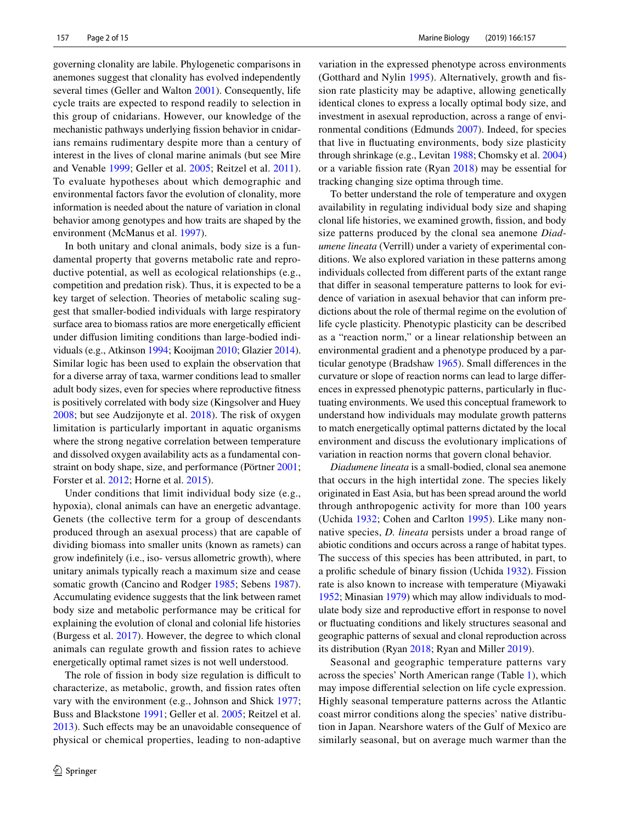governing clonality are labile. Phylogenetic comparisons in anemones suggest that clonality has evolved independently several times (Geller and Walton [2001](#page-13-14)). Consequently, life cycle traits are expected to respond readily to selection in this group of cnidarians. However, our knowledge of the mechanistic pathways underlying fssion behavior in cnidarians remains rudimentary despite more than a century of interest in the lives of clonal marine animals (but see Mire and Venable [1999](#page-13-15); Geller et al. [2005](#page-13-1); Reitzel et al. [2011](#page-14-2)). To evaluate hypotheses about which demographic and environmental factors favor the evolution of clonality, more information is needed about the nature of variation in clonal behavior among genotypes and how traits are shaped by the environment (McManus et al. [1997](#page-13-12)).

In both unitary and clonal animals, body size is a fundamental property that governs metabolic rate and reproductive potential, as well as ecological relationships (e.g., competition and predation risk). Thus, it is expected to be a key target of selection. Theories of metabolic scaling suggest that smaller-bodied individuals with large respiratory surface area to biomass ratios are more energetically efficient under difusion limiting conditions than large-bodied individuals (e.g., Atkinson [1994;](#page-13-16) Kooijman [2010;](#page-13-17) Glazier [2014](#page-13-18)). Similar logic has been used to explain the observation that for a diverse array of taxa, warmer conditions lead to smaller adult body sizes, even for species where reproductive ftness is positively correlated with body size (Kingsolver and Huey [2008](#page-13-19); but see Audzijonyte et al. [2018](#page-13-20)). The risk of oxygen limitation is particularly important in aquatic organisms where the strong negative correlation between temperature and dissolved oxygen availability acts as a fundamental constraint on body shape, size, and performance (Pörtner [2001](#page-13-21); Forster et al. [2012](#page-13-22); Horne et al. [2015](#page-13-23)).

Under conditions that limit individual body size (e.g., hypoxia), clonal animals can have an energetic advantage. Genets (the collective term for a group of descendants produced through an asexual process) that are capable of dividing biomass into smaller units (known as ramets) can grow indefnitely (i.e., iso- versus allometric growth), where unitary animals typically reach a maximum size and cease somatic growth (Cancino and Rodger [1985](#page-13-24); Sebens [1987](#page-14-1)). Accumulating evidence suggests that the link between ramet body size and metabolic performance may be critical for explaining the evolution of clonal and colonial life histories (Burgess et al. [2017](#page-13-25)). However, the degree to which clonal animals can regulate growth and fssion rates to achieve energetically optimal ramet sizes is not well understood.

The role of fission in body size regulation is difficult to characterize, as metabolic, growth, and fission rates often vary with the environment (e.g., Johnson and Shick [1977](#page-13-26); Buss and Blackstone [1991;](#page-13-27) Geller et al. [2005](#page-13-1); Reitzel et al. [2013](#page-14-5)). Such effects may be an unavoidable consequence of physical or chemical properties, leading to non-adaptive variation in the expressed phenotype across environments (Gotthard and Nylin [1995](#page-13-28)). Alternatively, growth and fssion rate plasticity may be adaptive, allowing genetically identical clones to express a locally optimal body size, and investment in asexual reproduction, across a range of environmental conditions (Edmunds [2007](#page-13-13)). Indeed, for species that live in fuctuating environments, body size plasticity through shrinkage (e.g., Levitan [1988;](#page-13-29) Chomsky et al. [2004](#page-13-30)) or a variable fssion rate (Ryan [2018\)](#page-14-6) may be essential for tracking changing size optima through time.

To better understand the role of temperature and oxygen availability in regulating individual body size and shaping clonal life histories, we examined growth, fssion, and body size patterns produced by the clonal sea anemone *Diadumene lineata* (Verrill) under a variety of experimental conditions. We also explored variation in these patterns among individuals collected from diferent parts of the extant range that difer in seasonal temperature patterns to look for evidence of variation in asexual behavior that can inform predictions about the role of thermal regime on the evolution of life cycle plasticity. Phenotypic plasticity can be described as a "reaction norm," or a linear relationship between an environmental gradient and a phenotype produced by a particular genotype (Bradshaw [1965](#page-13-31)). Small diferences in the curvature or slope of reaction norms can lead to large diferences in expressed phenotypic patterns, particularly in fuctuating environments. We used this conceptual framework to understand how individuals may modulate growth patterns to match energetically optimal patterns dictated by the local environment and discuss the evolutionary implications of variation in reaction norms that govern clonal behavior.

*Diadumene lineata* is a small-bodied, clonal sea anemone that occurs in the high intertidal zone. The species likely originated in East Asia, but has been spread around the world through anthropogenic activity for more than 100 years (Uchida [1932](#page-14-7); Cohen and Carlton [1995\)](#page-13-32). Like many nonnative species, *D. lineata* persists under a broad range of abiotic conditions and occurs across a range of habitat types. The success of this species has been attributed, in part, to a prolifc schedule of binary fssion (Uchida [1932\)](#page-14-7). Fission rate is also known to increase with temperature (Miyawaki [1952](#page-13-33); Minasian [1979\)](#page-13-34) which may allow individuals to modulate body size and reproductive effort in response to novel or fuctuating conditions and likely structures seasonal and geographic patterns of sexual and clonal reproduction across its distribution (Ryan [2018](#page-14-6); Ryan and Miller [2019\)](#page-14-8).

Seasonal and geographic temperature patterns vary across the species' North American range (Table [1](#page-2-0)), which may impose diferential selection on life cycle expression. Highly seasonal temperature patterns across the Atlantic coast mirror conditions along the species' native distribution in Japan. Nearshore waters of the Gulf of Mexico are similarly seasonal, but on average much warmer than the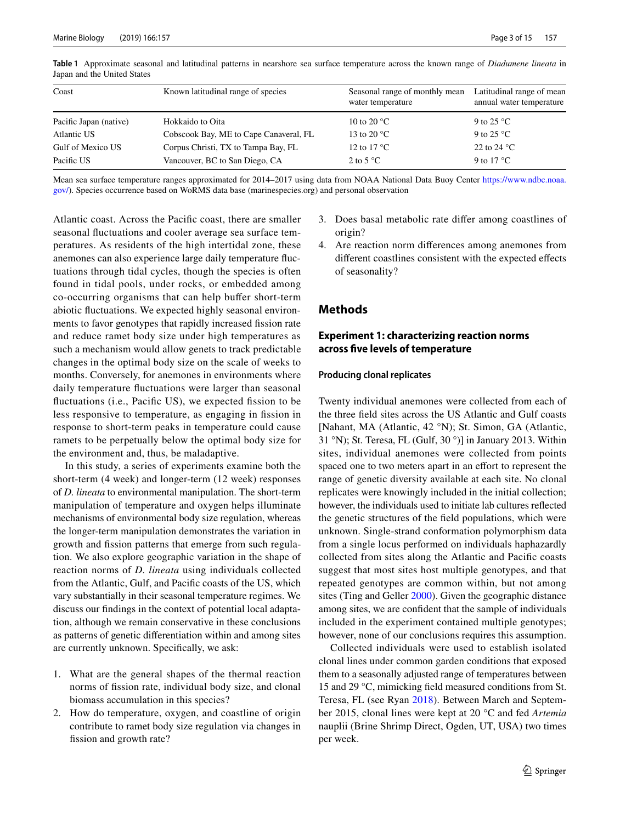| Coast                  | Known latitudinal range of species     | Seasonal range of monthly mean<br>water temperature | Latitudinal range of mean<br>annual water temperature |
|------------------------|----------------------------------------|-----------------------------------------------------|-------------------------------------------------------|
| Pacific Japan (native) | Hokkaido to Oita                       | 10 to 20 $^{\circ}$ C                               | 9 to 25 $^{\circ}$ C                                  |
| Atlantic US            | Cobscook Bay, ME to Cape Canaveral, FL | 13 to 20 $^{\circ}$ C                               | 9 to 25 $^{\circ}$ C                                  |
| Gulf of Mexico US      | Corpus Christi, TX to Tampa Bay, FL    | 12 to 17 $\mathrm{^{\circ}C}$                       | 22 to 24 $^{\circ}$ C                                 |
| Pacific US             | Vancouver, BC to San Diego, CA         | 2 to 5 $^{\circ}$ C                                 | 9 to 17 $^{\circ}$ C                                  |

<span id="page-2-0"></span>**Table 1** Approximate seasonal and latitudinal patterns in nearshore sea surface temperature across the known range of *Diadumene lineata* in Japan and the United States

Mean sea surface temperature ranges approximated for 2014–2017 using data from NOAA National Data Buoy Center [https://www.ndbc.noaa.](https://www.ndbc.noaa.gov/) [gov/\)](https://www.ndbc.noaa.gov/). Species occurrence based on WoRMS data base (marinespecies.org) and personal observation

Atlantic coast. Across the Pacifc coast, there are smaller seasonal fuctuations and cooler average sea surface temperatures. As residents of the high intertidal zone, these anemones can also experience large daily temperature fuctuations through tidal cycles, though the species is often found in tidal pools, under rocks, or embedded among co-occurring organisms that can help bufer short-term abiotic fuctuations. We expected highly seasonal environments to favor genotypes that rapidly increased fssion rate and reduce ramet body size under high temperatures as such a mechanism would allow genets to track predictable changes in the optimal body size on the scale of weeks to months. Conversely, for anemones in environments where daily temperature fuctuations were larger than seasonal fluctuations (i.e., Pacific US), we expected fission to be less responsive to temperature, as engaging in fission in response to short-term peaks in temperature could cause ramets to be perpetually below the optimal body size for the environment and, thus, be maladaptive.

In this study, a series of experiments examine both the short-term (4 week) and longer-term (12 week) responses of *D. lineata* to environmental manipulation. The short-term manipulation of temperature and oxygen helps illuminate mechanisms of environmental body size regulation, whereas the longer-term manipulation demonstrates the variation in growth and fssion patterns that emerge from such regulation. We also explore geographic variation in the shape of reaction norms of *D. lineata* using individuals collected from the Atlantic, Gulf, and Pacifc coasts of the US, which vary substantially in their seasonal temperature regimes. We discuss our fndings in the context of potential local adaptation, although we remain conservative in these conclusions as patterns of genetic diferentiation within and among sites are currently unknown. Specifcally, we ask:

- 1. What are the general shapes of the thermal reaction norms of fssion rate, individual body size, and clonal biomass accumulation in this species?
- 2. How do temperature, oxygen, and coastline of origin contribute to ramet body size regulation via changes in fission and growth rate?
- 3. Does basal metabolic rate difer among coastlines of origin?
- 4. Are reaction norm diferences among anemones from different coastlines consistent with the expected effects of seasonality?

# **Methods**

# **Experiment 1: characterizing reaction norms across fve levels of temperature**

#### **Producing clonal replicates**

Twenty individual anemones were collected from each of the three feld sites across the US Atlantic and Gulf coasts [Nahant, MA (Atlantic, 42 °N); St. Simon, GA (Atlantic, 31 °N); St. Teresa, FL (Gulf, 30 °)] in January 2013. Within sites, individual anemones were collected from points spaced one to two meters apart in an effort to represent the range of genetic diversity available at each site. No clonal replicates were knowingly included in the initial collection; however, the individuals used to initiate lab cultures refected the genetic structures of the feld populations, which were unknown. Single-strand conformation polymorphism data from a single locus performed on individuals haphazardly collected from sites along the Atlantic and Pacifc coasts suggest that most sites host multiple genotypes, and that repeated genotypes are common within, but not among sites (Ting and Geller [2000](#page-14-9)). Given the geographic distance among sites, we are confdent that the sample of individuals included in the experiment contained multiple genotypes; however, none of our conclusions requires this assumption.

Collected individuals were used to establish isolated clonal lines under common garden conditions that exposed them to a seasonally adjusted range of temperatures between 15 and 29 °C, mimicking feld measured conditions from St. Teresa, FL (see Ryan [2018\)](#page-14-6). Between March and September 2015, clonal lines were kept at 20 °C and fed *Artemia* nauplii (Brine Shrimp Direct, Ogden, UT, USA) two times per week.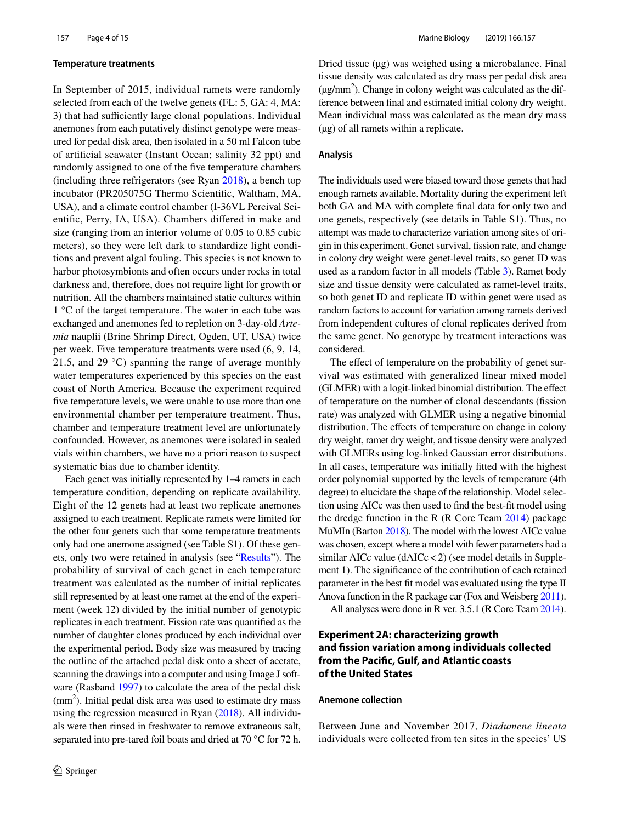#### **Temperature treatments**

In September of 2015, individual ramets were randomly selected from each of the twelve genets (FL: 5, GA: 4, MA: 3) that had sufficiently large clonal populations. Individual anemones from each putatively distinct genotype were measured for pedal disk area, then isolated in a 50 ml Falcon tube of artifcial seawater (Instant Ocean; salinity 32 ppt) and randomly assigned to one of the fve temperature chambers (including three refrigerators (see Ryan [2018\)](#page-14-6), a bench top incubator (PR205075G Thermo Scientifc, Waltham, MA, USA), and a climate control chamber (I-36VL Percival Scientifc, Perry, IA, USA). Chambers difered in make and size (ranging from an interior volume of 0.05 to 0.85 cubic meters), so they were left dark to standardize light conditions and prevent algal fouling. This species is not known to harbor photosymbionts and often occurs under rocks in total darkness and, therefore, does not require light for growth or nutrition. All the chambers maintained static cultures within 1 °C of the target temperature. The water in each tube was exchanged and anemones fed to repletion on 3-day-old *Artemia* nauplii (Brine Shrimp Direct, Ogden, UT, USA) twice per week. Five temperature treatments were used (6, 9, 14, 21.5, and 29 °C) spanning the range of average monthly water temperatures experienced by this species on the east coast of North America. Because the experiment required five temperature levels, we were unable to use more than one environmental chamber per temperature treatment. Thus, chamber and temperature treatment level are unfortunately confounded. However, as anemones were isolated in sealed vials within chambers, we have no a priori reason to suspect systematic bias due to chamber identity.

Each genet was initially represented by 1–4 ramets in each temperature condition, depending on replicate availability. Eight of the 12 genets had at least two replicate anemones assigned to each treatment. Replicate ramets were limited for the other four genets such that some temperature treatments only had one anemone assigned (see Table S1). Of these genets, only two were retained in analysis (see ["Results](#page-6-0)"). The probability of survival of each genet in each temperature treatment was calculated as the number of initial replicates still represented by at least one ramet at the end of the experiment (week 12) divided by the initial number of genotypic replicates in each treatment. Fission rate was quantifed as the number of daughter clones produced by each individual over the experimental period. Body size was measured by tracing the outline of the attached pedal disk onto a sheet of acetate, scanning the drawings into a computer and using Image J software (Rasband [1997](#page-14-10)) to calculate the area of the pedal disk  $(mm<sup>2</sup>)$ . Initial pedal disk area was used to estimate dry mass using the regression measured in Ryan ([2018](#page-14-6)). All individuals were then rinsed in freshwater to remove extraneous salt, separated into pre-tared foil boats and dried at 70 °C for 72 h.

Dried tissue (µg) was weighed using a microbalance. Final tissue density was calculated as dry mass per pedal disk area  $(\mu g/mm^2)$ . Change in colony weight was calculated as the difference between fnal and estimated initial colony dry weight. Mean individual mass was calculated as the mean dry mass (µg) of all ramets within a replicate.

#### **Analysis**

The individuals used were biased toward those genets that had enough ramets available. Mortality during the experiment left both GA and MA with complete fnal data for only two and one genets, respectively (see details in Table S1). Thus, no attempt was made to characterize variation among sites of origin in this experiment. Genet survival, fssion rate, and change in colony dry weight were genet-level traits, so genet ID was used as a random factor in all models (Table [3](#page-5-0)). Ramet body size and tissue density were calculated as ramet-level traits, so both genet ID and replicate ID within genet were used as random factors to account for variation among ramets derived from independent cultures of clonal replicates derived from the same genet. No genotype by treatment interactions was considered.

The effect of temperature on the probability of genet survival was estimated with generalized linear mixed model (GLMER) with a logit-linked binomial distribution. The efect of temperature on the number of clonal descendants (fssion rate) was analyzed with GLMER using a negative binomial distribution. The effects of temperature on change in colony dry weight, ramet dry weight, and tissue density were analyzed with GLMERs using log-linked Gaussian error distributions. In all cases, temperature was initially ftted with the highest order polynomial supported by the levels of temperature (4th degree) to elucidate the shape of the relationship. Model selection using AICc was then used to fnd the best-ft model using the dredge function in the R (R Core Team [2014](#page-14-11)) package MuMIn (Barton [2018\)](#page-13-35). The model with the lowest AICc value was chosen, except where a model with fewer parameters had a similar AICc value  $(dAICc < 2)$  (see model details in Supplement 1). The signifcance of the contribution of each retained parameter in the best ft model was evaluated using the type II Anova function in the R package car (Fox and Weisberg [2011\)](#page-13-36).

All analyses were done in R ver. 3.5.1 (R Core Team [2014\)](#page-14-11).

# **Experiment 2A: characterizing growth and fssion variation among individuals collected from the Pacifc, Gulf, and Atlantic coasts of the United States**

## **Anemone collection**

Between June and November 2017, *Diadumene lineata* individuals were collected from ten sites in the species' US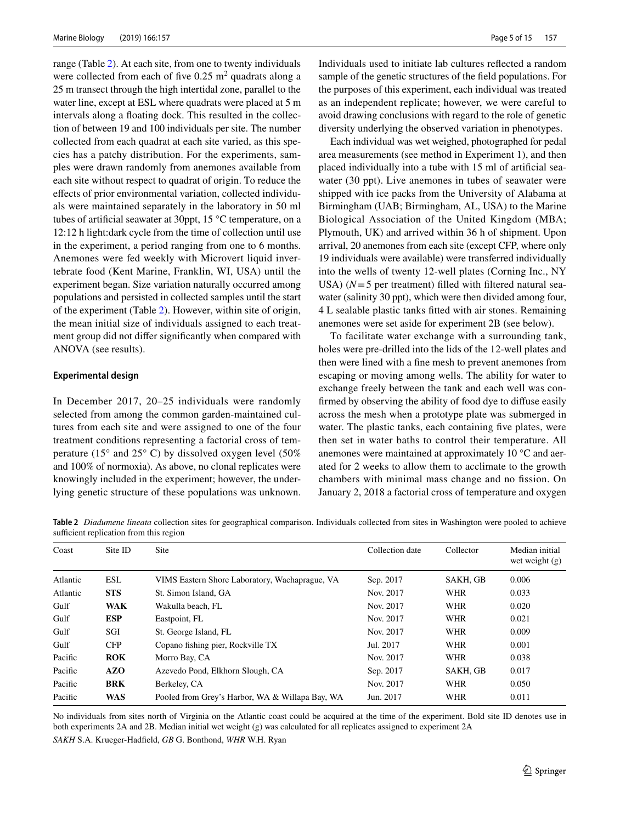range (Table [2](#page-4-0)). At each site, from one to twenty individuals were collected from each of five  $0.25 \text{ m}^2$  quadrats along a 25 m transect through the high intertidal zone, parallel to the water line, except at ESL where quadrats were placed at 5 m intervals along a foating dock. This resulted in the collection of between 19 and 100 individuals per site. The number collected from each quadrat at each site varied, as this species has a patchy distribution. For the experiments, samples were drawn randomly from anemones available from each site without respect to quadrat of origin. To reduce the efects of prior environmental variation, collected individuals were maintained separately in the laboratory in 50 ml tubes of artifcial seawater at 30ppt, 15 °C temperature, on a 12:12 h light:dark cycle from the time of collection until use in the experiment, a period ranging from one to 6 months. Anemones were fed weekly with Microvert liquid invertebrate food (Kent Marine, Franklin, WI, USA) until the experiment began. Size variation naturally occurred among populations and persisted in collected samples until the start of the experiment (Table [2\)](#page-4-0). However, within site of origin, the mean initial size of individuals assigned to each treatment group did not difer signifcantly when compared with ANOVA (see results).

## **Experimental design**

In December 2017, 20–25 individuals were randomly selected from among the common garden-maintained cultures from each site and were assigned to one of the four treatment conditions representing a factorial cross of temperature (15 $\degree$  and 25 $\degree$  C) by dissolved oxygen level (50%) and 100% of normoxia). As above, no clonal replicates were knowingly included in the experiment; however, the underlying genetic structure of these populations was unknown.

Individuals used to initiate lab cultures refected a random sample of the genetic structures of the feld populations. For the purposes of this experiment, each individual was treated as an independent replicate; however, we were careful to avoid drawing conclusions with regard to the role of genetic diversity underlying the observed variation in phenotypes.

Each individual was wet weighed, photographed for pedal area measurements (see method in Experiment 1), and then placed individually into a tube with 15 ml of artifcial seawater (30 ppt). Live anemones in tubes of seawater were shipped with ice packs from the University of Alabama at Birmingham (UAB; Birmingham, AL, USA) to the Marine Biological Association of the United Kingdom (MBA; Plymouth, UK) and arrived within 36 h of shipment. Upon arrival, 20 anemones from each site (except CFP, where only 19 individuals were available) were transferred individually into the wells of twenty 12-well plates (Corning Inc., NY USA)  $(N=5$  per treatment) filled with filtered natural seawater (salinity 30 ppt), which were then divided among four, 4 L sealable plastic tanks ftted with air stones. Remaining anemones were set aside for experiment 2B (see below).

To facilitate water exchange with a surrounding tank, holes were pre-drilled into the lids of the 12-well plates and then were lined with a fne mesh to prevent anemones from escaping or moving among wells. The ability for water to exchange freely between the tank and each well was confrmed by observing the ability of food dye to difuse easily across the mesh when a prototype plate was submerged in water. The plastic tanks, each containing five plates, were then set in water baths to control their temperature. All anemones were maintained at approximately 10 °C and aerated for 2 weeks to allow them to acclimate to the growth chambers with minimal mass change and no fssion. On January 2, 2018 a factorial cross of temperature and oxygen

<span id="page-4-0"></span>**Table 2** *Diadumene lineata* collection sites for geographical comparison. Individuals collected from sites in Washington were pooled to achieve sufficient replication from this region

| Coast    | Site ID    | <b>Site</b>                                     | Collection date | Collector  | Median initial<br>wet weight $(g)$ |
|----------|------------|-------------------------------------------------|-----------------|------------|------------------------------------|
| Atlantic | ESL        | VIMS Eastern Shore Laboratory, Wachaprague, VA  | Sep. 2017       | SAKH, GB   | 0.006                              |
| Atlantic | <b>STS</b> | St. Simon Island, GA                            | Nov. 2017       | <b>WHR</b> | 0.033                              |
| Gulf     | <b>WAK</b> | Wakulla beach, FL                               | Nov. 2017       | <b>WHR</b> | 0.020                              |
| Gulf     | <b>ESP</b> | Eastpoint, FL                                   | Nov. 2017       | WHR        | 0.021                              |
| Gulf     | SGI        | St. George Island, FL                           | Nov. 2017       | <b>WHR</b> | 0.009                              |
| Gulf     | <b>CFP</b> | Copano fishing pier, Rockville TX               | Jul. 2017       | <b>WHR</b> | 0.001                              |
| Pacific  | ROK        | Morro Bay, CA                                   | Nov. 2017       | <b>WHR</b> | 0.038                              |
| Pacific  | <b>AZO</b> | Azevedo Pond, Elkhorn Slough, CA                | Sep. 2017       | SAKH, GB   | 0.017                              |
| Pacific  | <b>BRK</b> | Berkeley, CA                                    | Nov. 2017       | <b>WHR</b> | 0.050                              |
| Pacific  | <b>WAS</b> | Pooled from Grey's Harbor, WA & Willapa Bay, WA | Jun. 2017       | <b>WHR</b> | 0.011                              |

No individuals from sites north of Virginia on the Atlantic coast could be acquired at the time of the experiment. Bold site ID denotes use in both experiments 2A and 2B. Median initial wet weight (g) was calculated for all replicates assigned to experiment 2A *SAKH* S.A. Krueger-Hadfeld, *GB* G. Bonthond, *WHR* W.H. Ryan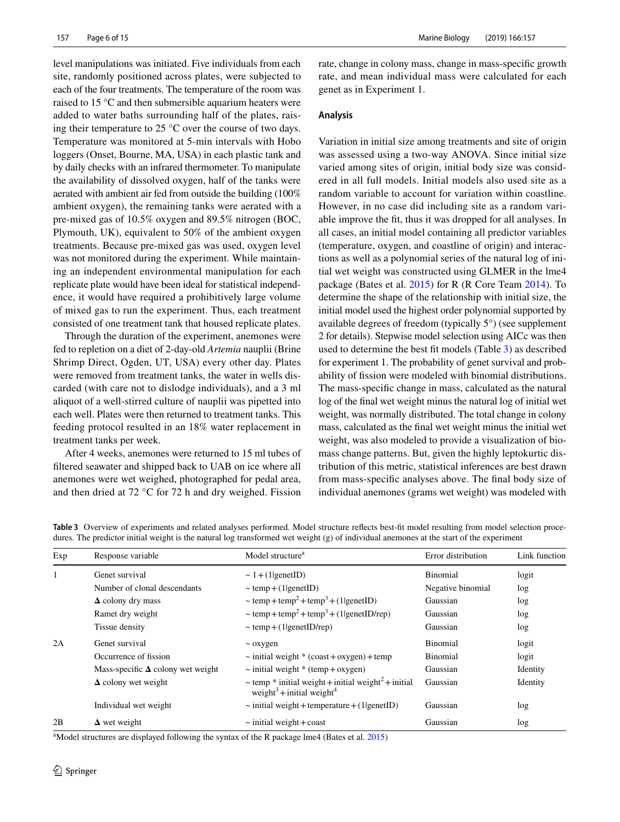Marine Biology (2019) 166:157

level manipulations was initiated. Five individuals from each site, randomly positioned across plates, were subjected to each of the four treatments. The temperature of the room was raised to 15 °C and then submersible aquarium heaters were added to water baths surrounding half of the plates, raising their temperature to 25 °C over the course of two days. Temperature was monitored at 5-min intervals with Hobo loggers (Onset, Bourne, MA, USA) in each plastic tank and by daily checks with an infrared thermometer. To manipulate the availability of dissolved oxygen, half of the tanks were aerated with ambient air fed from outside the building (100% ambient oxygen), the remaining tanks were aerated with a pre-mixed gas of 10.5% oxygen and 89.5% nitrogen (BOC, Plymouth, UK), equivalent to 50% of the ambient oxygen treatments. Because pre-mixed gas was used, oxygen level was not monitored during the experiment. While maintaining an independent environmental manipulation for each replicate plate would have been ideal for statistical independence, it would have required a prohibitively large volume of mixed gas to run the experiment. Thus, each treatment consisted of one treatment tank that housed replicate plates.

Through the duration of the experiment, anemones were fed to repletion on a diet of 2-day-old *Artemia* nauplii (Brine Shrimp Direct, Ogden, UT, USA) every other day. Plates were removed from treatment tanks, the water in wells discarded (with care not to dislodge individuals), and a 3 ml aliquot of a well-stirred culture of nauplii was pipetted into each well. Plates were then returned to treatment tanks. This feeding protocol resulted in an 18% water replacement in treatment tanks per week.

After 4 weeks, anemones were returned to 15 ml tubes of fltered seawater and shipped back to UAB on ice where all anemones were wet weighed, photographed for pedal area, and then dried at 72 °C for 72 h and dry weighed. Fission rate, change in colony mass, change in mass-specifc growth rate, and mean individual mass were calculated for each genet as in Experiment 1.

#### **Analysis**

Variation in initial size among treatments and site of origin was assessed using a two-way ANOVA. Since initial size varied among sites of origin, initial body size was considered in all full models. Initial models also used site as a random variable to account for variation within coastline. However, in no case did including site as a random variable improve the ft, thus it was dropped for all analyses. In all cases, an initial model containing all predictor variables (temperature, oxygen, and coastline of origin) and interactions as well as a polynomial series of the natural log of initial wet weight was constructed using GLMER in the lme4 package (Bates et al. [2015\)](#page-13-37) for R (R Core Team [2014\)](#page-14-11). To determine the shape of the relationship with initial size, the initial model used the highest order polynomial supported by available degrees of freedom (typically 5°) (see supplement 2 for details). Stepwise model selection using AICc was then used to determine the best ft models (Table [3\)](#page-5-0) as described for experiment 1. The probability of genet survival and probability of fssion were modeled with binomial distributions. The mass-specifc change in mass, calculated as the natural log of the fnal wet weight minus the natural log of initial wet weight, was normally distributed. The total change in colony mass, calculated as the fnal wet weight minus the initial wet weight, was also modeled to provide a visualization of biomass change patterns. But, given the highly leptokurtic distribution of this metric, statistical inferences are best drawn from mass-specifc analyses above. The fnal body size of individual anemones (grams wet weight) was modeled with

| dures. The predictor initial weight is the natural log transformed wet weight (g) or murvidual anemolies at the start of the experiment |                                          |                                                                                                                            |                    |               |  |  |  |
|-----------------------------------------------------------------------------------------------------------------------------------------|------------------------------------------|----------------------------------------------------------------------------------------------------------------------------|--------------------|---------------|--|--|--|
| Exp                                                                                                                                     | Response variable                        | Model structure <sup>a</sup>                                                                                               | Error distribution | Link function |  |  |  |
| 1                                                                                                                                       | Genet survival                           | $\sim 1 + (1$  genetID)                                                                                                    | Binomial           | logit         |  |  |  |
|                                                                                                                                         | Number of clonal descendants             | $\sim$ temp + (1 genetID)                                                                                                  | Negative binomial  | log           |  |  |  |
|                                                                                                                                         | $\Delta$ colony dry mass                 | $\sim$ temp + temp <sup>2</sup> + temp <sup>3</sup> + (1 genetID)                                                          | Gaussian           | log           |  |  |  |
|                                                                                                                                         | Ramet dry weight                         | $\sim$ temp + temp <sup>2</sup> + temp <sup>3</sup> + (1 genetID/rep)                                                      | Gaussian           | log           |  |  |  |
|                                                                                                                                         | Tissue density                           | $\sim$ temp + (1 genetID/rep)                                                                                              | Gaussian           | log           |  |  |  |
| 2A                                                                                                                                      | Genet survival                           | $\sim$ oxygen                                                                                                              | <b>Binomial</b>    | logit         |  |  |  |
|                                                                                                                                         | Occurrence of fission                    | $\sim$ initial weight * (coast + oxygen) + temp                                                                            | Binomial           | logit         |  |  |  |
|                                                                                                                                         | Mass-specific $\Delta$ colony wet weight | $\sim$ initial weight * (temp + oxygen)                                                                                    | Gaussian           | Identity      |  |  |  |
|                                                                                                                                         | $\Delta$ colony wet weight               | $\sim$ temp $*$ initial weight + initial weight <sup>2</sup> + initial<br>weight <sup>3</sup> +initial weight <sup>4</sup> | Gaussian           | Identity      |  |  |  |
|                                                                                                                                         | Individual wet weight                    | $\sim$ initial weight + temperature + (1 genetID)                                                                          | Gaussian           | log           |  |  |  |
| 2B                                                                                                                                      | $\Delta$ wet weight                      | $\sim$ initial weight + coast                                                                                              | Gaussian           | log           |  |  |  |

<span id="page-5-0"></span>**Table 3** Overview of experiments and related analyses performed. Model structure refects best-ft model resulting from model selection procedures. The predictor initial weight is the natural log transformed wet weight (g) of individual anemones at the start of the experiment

<sup>a</sup>Model structures are displayed following the syntax of the R package lme4 (Bates et al. [2015\)](#page-13-37)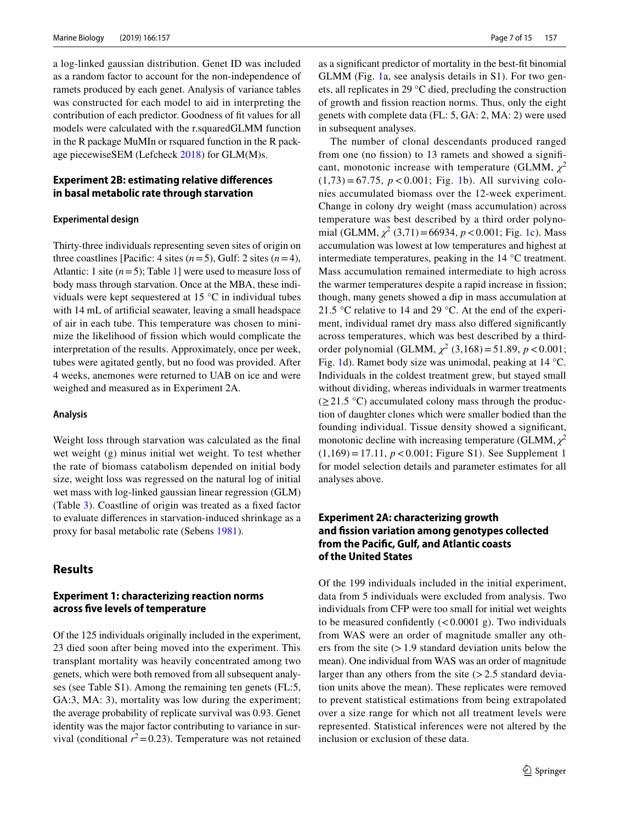a log-linked gaussian distribution. Genet ID was included as a random factor to account for the non-independence of ramets produced by each genet. Analysis of variance tables was constructed for each model to aid in interpreting the contribution of each predictor. Goodness of ft values for all models were calculated with the r.squaredGLMM function in the R package MuMIn or rsquared function in the R package piecewiseSEM (Lefcheck [2018](#page-13-38)) for GLM(M)s.

# **Experiment 2B: estimating relative diferences in basal metabolic rate through starvation**

## **Experimental design**

Thirty-three individuals representing seven sites of origin on three coastlines [Pacific: 4 sites  $(n=5)$ , Gulf: 2 sites  $(n=4)$ , Atlantic: 1 site  $(n=5)$ ; Table [1\]](#page-2-0) were used to measure loss of body mass through starvation. Once at the MBA, these individuals were kept sequestered at 15 °C in individual tubes with 14 mL of artifcial seawater, leaving a small headspace of air in each tube. This temperature was chosen to minimize the likelihood of fssion which would complicate the interpretation of the results. Approximately, once per week, tubes were agitated gently, but no food was provided. After 4 weeks, anemones were returned to UAB on ice and were weighed and measured as in Experiment 2A.

#### **Analysis**

Weight loss through starvation was calculated as the fnal wet weight (g) minus initial wet weight. To test whether the rate of biomass catabolism depended on initial body size, weight loss was regressed on the natural log of initial wet mass with log-linked gaussian linear regression (GLM) (Table [3](#page-5-0)). Coastline of origin was treated as a fxed factor to evaluate diferences in starvation-induced shrinkage as a proxy for basal metabolic rate (Sebens [1981](#page-14-12)).

# <span id="page-6-0"></span>**Results**

## **Experiment 1: characterizing reaction norms across fve levels of temperature**

Of the 125 individuals originally included in the experiment, 23 died soon after being moved into the experiment. This transplant mortality was heavily concentrated among two genets, which were both removed from all subsequent analyses (see Table S1). Among the remaining ten genets (FL:5, GA:3, MA: 3), mortality was low during the experiment; the average probability of replicate survival was 0.93. Genet identity was the major factor contributing to variance in survival (conditional  $r^2$  = 0.23). Temperature was not retained as a signifcant predictor of mortality in the best-ft binomial GLMM (Fig. [1](#page-7-0)a, see analysis details in S1). For two genets, all replicates in 29 °C died, precluding the construction of growth and fssion reaction norms. Thus, only the eight genets with complete data (FL: 5, GA: 2, MA: 2) were used in subsequent analyses.

The number of clonal descendants produced ranged from one (no fission) to 13 ramets and showed a significant, monotonic increase with temperature (GLMM,  $\chi^2$ )  $(1,73) = 67.75$  $(1,73) = 67.75$  $(1,73) = 67.75$ ,  $p < 0.001$ ; Fig. 1b). All surviving colonies accumulated biomass over the 12-week experiment. Change in colony dry weight (mass accumulation) across temperature was best described by a third order polynomial (GLMM,  $\chi^2$  (3,71) = 66934, *p* < 0.001; Fig. [1c](#page-7-0)). Mass accumulation was lowest at low temperatures and highest at intermediate temperatures, peaking in the 14 °C treatment. Mass accumulation remained intermediate to high across the warmer temperatures despite a rapid increase in fission; though, many genets showed a dip in mass accumulation at 21.5 °C relative to 14 and 29 °C. At the end of the experiment, individual ramet dry mass also difered signifcantly across temperatures, which was best described by a thirdorder polynomial (GLMM,  $\chi^2$  (3,168) = 51.89, *p* < 0.001; Fig. [1d](#page-7-0)). Ramet body size was unimodal, peaking at 14 °C. Individuals in the coldest treatment grew, but stayed small without dividing, whereas individuals in warmer treatments  $(\geq 21.5 \text{ °C})$  accumulated colony mass through the production of daughter clones which were smaller bodied than the founding individual. Tissue density showed a signifcant, monotonic decline with increasing temperature (GLMM,  $\chi^2$ )  $(1,169) = 17.11, p < 0.001$ ; Figure S1). See Supplement 1 for model selection details and parameter estimates for all analyses above.

# **Experiment 2A: characterizing growth and fssion variation among genotypes collected from the Pacifc, Gulf, and Atlantic coasts of the United States**

Of the 199 individuals included in the initial experiment, data from 5 individuals were excluded from analysis. Two individuals from CFP were too small for initial wet weights to be measured confidently  $(< 0.0001$  g). Two individuals from WAS were an order of magnitude smaller any others from the site  $(>1.9$  standard deviation units below the mean). One individual from WAS was an order of magnitude larger than any others from the site  $(>2.5$  standard deviation units above the mean). These replicates were removed to prevent statistical estimations from being extrapolated over a size range for which not all treatment levels were represented. Statistical inferences were not altered by the inclusion or exclusion of these data.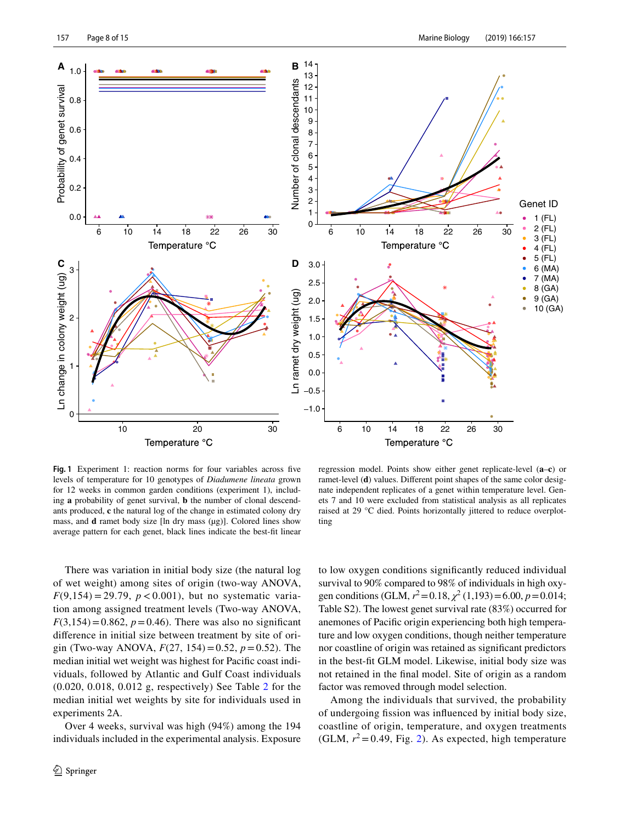

<span id="page-7-0"></span>**Fig. 1** Experiment 1: reaction norms for four variables across fve levels of temperature for 10 genotypes of *Diadumene lineata* grown for 12 weeks in common garden conditions (experiment 1), including **a** probability of genet survival, **b** the number of clonal descendants produced, **c** the natural log of the change in estimated colony dry mass, and **d** ramet body size [ln dry mass (µg)]. Colored lines show average pattern for each genet, black lines indicate the best-ft linear

regression model. Points show either genet replicate-level (**a**–**c**) or ramet-level (**d**) values. Diferent point shapes of the same color designate independent replicates of a genet within temperature level. Genets 7 and 10 were excluded from statistical analysis as all replicates raised at 29 °C died. Points horizontally jittered to reduce overplotting

There was variation in initial body size (the natural log of wet weight) among sites of origin (two-way ANOVA,  $F(9,154) = 29.79$ ,  $p < 0.001$ ), but no systematic variation among assigned treatment levels (Two-way ANOVA,  $F(3,154) = 0.862$ ,  $p = 0.46$ ). There was also no significant diference in initial size between treatment by site of origin (Two-way ANOVA, *F*(27, 154)=0.52, *p*=0.52). The median initial wet weight was highest for Pacifc coast individuals, followed by Atlantic and Gulf Coast individuals (0.020, 0.018, 0.012 g, respectively) See Table [2](#page-4-0) for the median initial wet weights by site for individuals used in experiments 2A.

Over 4 weeks, survival was high (94%) among the 194 individuals included in the experimental analysis. Exposure to low oxygen conditions signifcantly reduced individual survival to 90% compared to 98% of individuals in high oxygen conditions (GLM,  $r^2 = 0.18$ ,  $\chi^2 (1,193) = 6.00$ ,  $p = 0.014$ ; Table S2). The lowest genet survival rate (83%) occurred for anemones of Pacifc origin experiencing both high temperature and low oxygen conditions, though neither temperature nor coastline of origin was retained as signifcant predictors in the best-ft GLM model. Likewise, initial body size was not retained in the fnal model. Site of origin as a random factor was removed through model selection.

Among the individuals that survived, the probability of undergoing fssion was infuenced by initial body size, coastline of origin, temperature, and oxygen treatments (GLM,  $r^2$  $r^2$  = 0.49, Fig. 2). As expected, high temperature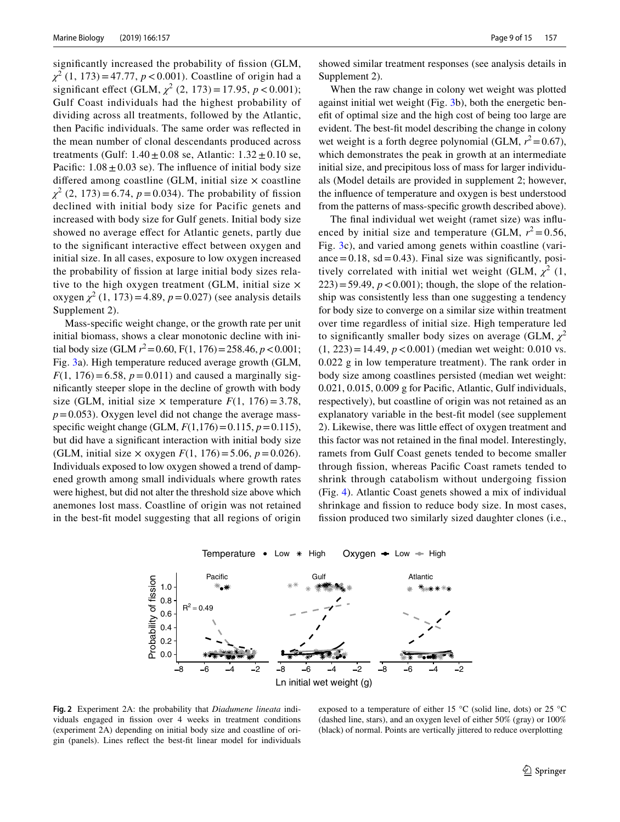significantly increased the probability of fission (GLM, *χ*2 (1, 173)=47.77, *p*<0.001). Coastline of origin had a significant effect (GLM,  $\chi^2$  (2, 173) = 17.95,  $p < 0.001$ ); Gulf Coast individuals had the highest probability of dividing across all treatments, followed by the Atlantic, then Pacifc individuals. The same order was refected in the mean number of clonal descendants produced across treatments (Gulf:  $1.40 \pm 0.08$  se, Atlantic:  $1.32 \pm 0.10$  se, Pacific:  $1.08 \pm 0.03$  se). The influence of initial body size differed among coastline (GLM, initial size  $\times$  coastline  $\chi^2$  (2, 173) = 6.74, *p* = 0.034). The probability of fission declined with initial body size for Pacific genets and increased with body size for Gulf genets. Initial body size showed no average efect for Atlantic genets, partly due to the signifcant interactive efect between oxygen and initial size. In all cases, exposure to low oxygen increased the probability of fssion at large initial body sizes relative to the high oxygen treatment (GLM, initial size  $\times$ oxygen  $\chi^2$  (1, 173) = 4.89,  $p = 0.027$ ) (see analysis details Supplement 2).

Mass-specifc weight change, or the growth rate per unit initial biomass, shows a clear monotonic decline with initial body size (GLM  $r^2$  = 0.60, F(1, 176) = 258.46,  $p$  < 0.001; Fig. [3a](#page-9-0)). High temperature reduced average growth (GLM, *F*(1, 176) = 6.58,  $p = 0.011$ ) and caused a marginally signifcantly steeper slope in the decline of growth with body size (GLM, initial size  $\times$  temperature  $F(1, 176) = 3.78$ ,  $p=0.053$ ). Oxygen level did not change the average massspecific weight change (GLM,  $F(1,176) = 0.115$ ,  $p = 0.115$ ), but did have a signifcant interaction with initial body size (GLM, initial size  $\times$  oxygen  $F(1, 176) = 5.06$ ,  $p = 0.026$ ). Individuals exposed to low oxygen showed a trend of dampened growth among small individuals where growth rates were highest, but did not alter the threshold size above which anemones lost mass. Coastline of origin was not retained in the best-ft model suggesting that all regions of origin

showed similar treatment responses (see analysis details in Supplement 2).

When the raw change in colony wet weight was plotted against initial wet weight (Fig. [3b](#page-9-0)), both the energetic beneft of optimal size and the high cost of being too large are evident. The best-ft model describing the change in colony wet weight is a forth degree polynomial (GLM,  $r^2 = 0.67$ ), which demonstrates the peak in growth at an intermediate initial size, and precipitous loss of mass for larger individuals (Model details are provided in supplement 2; however, the infuence of temperature and oxygen is best understood from the patterns of mass-specifc growth described above).

The fnal individual wet weight (ramet size) was infuenced by initial size and temperature (GLM,  $r^2 = 0.56$ , Fig. [3c](#page-9-0)), and varied among genets within coastline (variance  $= 0.18$ , sd  $= 0.43$ ). Final size was significantly, positively correlated with initial wet weight (GLM,  $\chi^2$  (1,  $223$ )=59.49,  $p < 0.001$ ); though, the slope of the relationship was consistently less than one suggesting a tendency for body size to converge on a similar size within treatment over time regardless of initial size. High temperature led to significantly smaller body sizes on average (GLM,  $\chi^2$ )  $(1, 223) = 14.49, p < 0.001$ ) (median wet weight: 0.010 vs. 0.022 g in low temperature treatment). The rank order in body size among coastlines persisted (median wet weight: 0.021, 0.015, 0.009 g for Pacifc, Atlantic, Gulf individuals, respectively), but coastline of origin was not retained as an explanatory variable in the best-ft model (see supplement 2). Likewise, there was little efect of oxygen treatment and this factor was not retained in the fnal model. Interestingly, ramets from Gulf Coast genets tended to become smaller through fssion, whereas Pacifc Coast ramets tended to shrink through catabolism without undergoing fission (Fig. [4\)](#page-10-0). Atlantic Coast genets showed a mix of individual shrinkage and fission to reduce body size. In most cases, fission produced two similarly sized daughter clones (i.e.,



Temperature • Low  $*$  High Oxygen • Low + High

<span id="page-8-0"></span>**Fig. 2** Experiment 2A: the probability that *Diadumene lineata* individuals engaged in fssion over 4 weeks in treatment conditions (experiment 2A) depending on initial body size and coastline of origin (panels). Lines refect the best-ft linear model for individuals

exposed to a temperature of either 15 °C (solid line, dots) or 25 °C (dashed line, stars), and an oxygen level of either 50% (gray) or 100% (black) of normal. Points are vertically jittered to reduce overplotting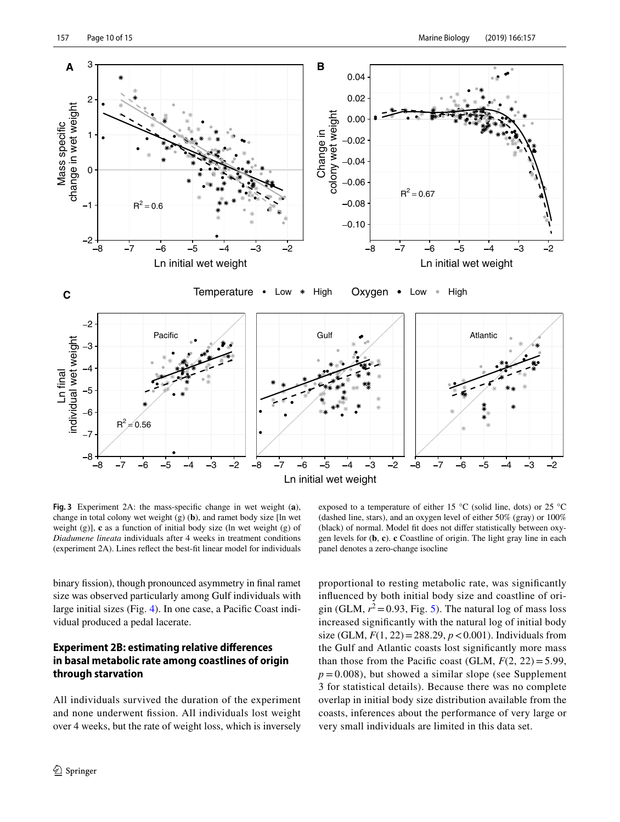

<span id="page-9-0"></span>**Fig. 3** Experiment 2A: the mass-specifc change in wet weight (**a**), change in total colony wet weight (g) (**b**), and ramet body size [ln wet weight (g)], **c** as a function of initial body size (ln wet weight (g) of *Diadumene lineata* individuals after 4 weeks in treatment conditions (experiment 2A). Lines refect the best-ft linear model for individuals

exposed to a temperature of either 15 °C (solid line, dots) or 25 °C (dashed line, stars), and an oxygen level of either 50% (gray) or 100% (black) of normal. Model ft does not difer statistically between oxygen levels for (**b**, **c**). **c** Coastline of origin. The light gray line in each panel denotes a zero-change isocline

binary fission), though pronounced asymmetry in final ramet size was observed particularly among Gulf individuals with large initial sizes (Fig. [4\)](#page-10-0). In one case, a Pacifc Coast individual produced a pedal lacerate.

# **Experiment 2B: estimating relative diferences in basal metabolic rate among coastlines of origin through starvation**

All individuals survived the duration of the experiment and none underwent fssion. All individuals lost weight over 4 weeks, but the rate of weight loss, which is inversely

proportional to resting metabolic rate, was signifcantly infuenced by both initial body size and coastline of origin (GLM,  $r^2$  = 0.93, Fig. [5\)](#page-10-1). The natural log of mass loss increased signifcantly with the natural log of initial body size (GLM,  $F(1, 22) = 288.29$ ,  $p < 0.001$ ). Individuals from the Gulf and Atlantic coasts lost signifcantly more mass than those from the Pacific coast (GLM,  $F(2, 22) = 5.99$ ,  $p = 0.008$ ), but showed a similar slope (see Supplement 3 for statistical details). Because there was no complete overlap in initial body size distribution available from the coasts, inferences about the performance of very large or very small individuals are limited in this data set.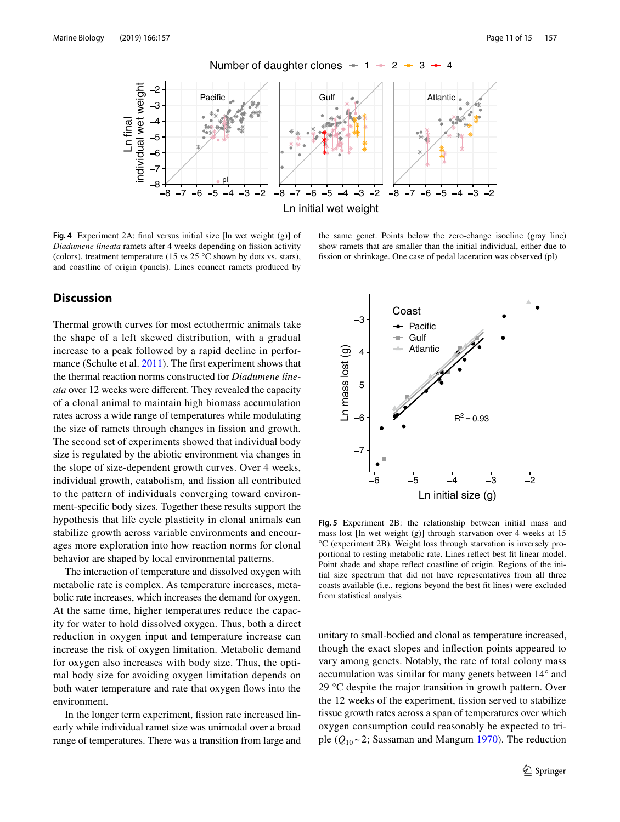

Number of daughter clones  $+1$  + 2 + 3 + 4

<span id="page-10-0"></span>**Fig. 4** Experiment 2A: fnal versus initial size [ln wet weight (g)] of *Diadumene lineata* ramets after 4 weeks depending on fission activity (colors), treatment temperature (15 vs  $25^{\circ}$ C shown by dots vs. stars), and coastline of origin (panels). Lines connect ramets produced by

#### the same genet. Points below the zero-change isocline (gray line) show ramets that are smaller than the initial individual, either due to fssion or shrinkage. One case of pedal laceration was observed (pl)

# **Discussion**

Thermal growth curves for most ectothermic animals take the shape of a left skewed distribution, with a gradual increase to a peak followed by a rapid decline in performance (Schulte et al. [2011](#page-14-13)). The frst experiment shows that the thermal reaction norms constructed for *Diadumene lineata* over 12 weeks were diferent. They revealed the capacity of a clonal animal to maintain high biomass accumulation rates across a wide range of temperatures while modulating the size of ramets through changes in fission and growth. The second set of experiments showed that individual body size is regulated by the abiotic environment via changes in the slope of size-dependent growth curves. Over 4 weeks, individual growth, catabolism, and fssion all contributed to the pattern of individuals converging toward environment-specifc body sizes. Together these results support the hypothesis that life cycle plasticity in clonal animals can stabilize growth across variable environments and encourages more exploration into how reaction norms for clonal behavior are shaped by local environmental patterns.

The interaction of temperature and dissolved oxygen with metabolic rate is complex. As temperature increases, metabolic rate increases, which increases the demand for oxygen. At the same time, higher temperatures reduce the capacity for water to hold dissolved oxygen. Thus, both a direct reduction in oxygen input and temperature increase can increase the risk of oxygen limitation. Metabolic demand for oxygen also increases with body size. Thus, the optimal body size for avoiding oxygen limitation depends on both water temperature and rate that oxygen fows into the environment.

In the longer term experiment, fssion rate increased linearly while individual ramet size was unimodal over a broad range of temperatures. There was a transition from large and



<span id="page-10-1"></span>**Fig. 5** Experiment 2B: the relationship between initial mass and mass lost [ln wet weight (g)] through starvation over 4 weeks at 15 °C (experiment 2B). Weight loss through starvation is inversely proportional to resting metabolic rate. Lines refect best ft linear model. Point shade and shape refect coastline of origin. Regions of the initial size spectrum that did not have representatives from all three coasts available (i.e., regions beyond the best ft lines) were excluded from statistical analysis

unitary to small-bodied and clonal as temperature increased, though the exact slopes and infection points appeared to vary among genets. Notably, the rate of total colony mass accumulation was similar for many genets between 14° and 29 °C despite the major transition in growth pattern. Over the 12 weeks of the experiment, fssion served to stabilize tissue growth rates across a span of temperatures over which oxygen consumption could reasonably be expected to triple  $(Q_{10} \sim 2$ ; Sassaman and Mangum [1970](#page-14-14)). The reduction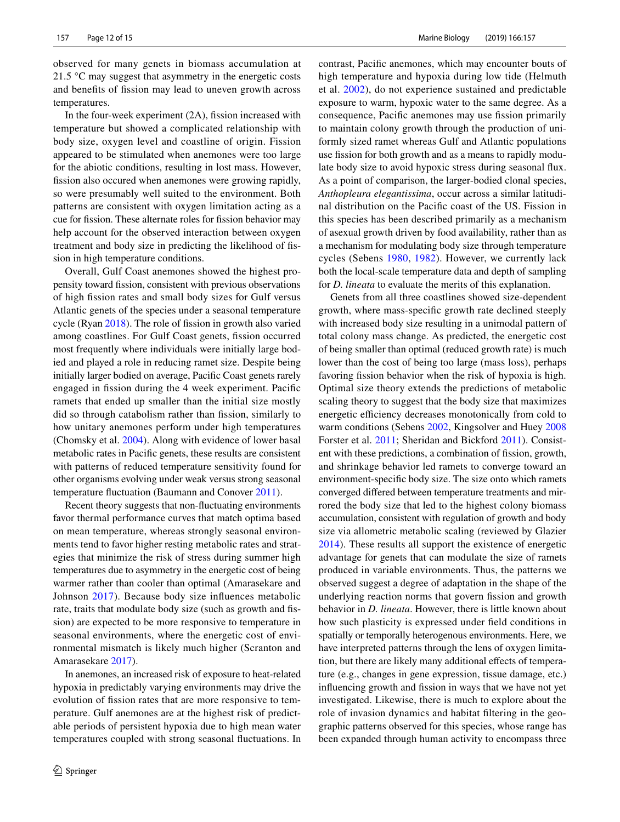observed for many genets in biomass accumulation at 21.5 °C may suggest that asymmetry in the energetic costs and benefts of fssion may lead to uneven growth across temperatures.

In the four-week experiment  $(2A)$ , fission increased with temperature but showed a complicated relationship with body size, oxygen level and coastline of origin. Fission appeared to be stimulated when anemones were too large for the abiotic conditions, resulting in lost mass. However, fission also occured when anemones were growing rapidly, so were presumably well suited to the environment. Both patterns are consistent with oxygen limitation acting as a cue for fssion. These alternate roles for fssion behavior may help account for the observed interaction between oxygen treatment and body size in predicting the likelihood of fssion in high temperature conditions.

Overall, Gulf Coast anemones showed the highest propensity toward fssion, consistent with previous observations of high fssion rates and small body sizes for Gulf versus Atlantic genets of the species under a seasonal temperature cycle (Ryan [2018](#page-14-6)). The role of fssion in growth also varied among coastlines. For Gulf Coast genets, fssion occurred most frequently where individuals were initially large bodied and played a role in reducing ramet size. Despite being initially larger bodied on average, Pacifc Coast genets rarely engaged in fssion during the 4 week experiment. Pacifc ramets that ended up smaller than the initial size mostly did so through catabolism rather than fission, similarly to how unitary anemones perform under high temperatures (Chomsky et al. [2004\)](#page-13-30). Along with evidence of lower basal metabolic rates in Pacifc genets, these results are consistent with patterns of reduced temperature sensitivity found for other organisms evolving under weak versus strong seasonal temperature fuctuation (Baumann and Conover [2011\)](#page-13-39).

Recent theory suggests that non-fuctuating environments favor thermal performance curves that match optima based on mean temperature, whereas strongly seasonal environments tend to favor higher resting metabolic rates and strategies that minimize the risk of stress during summer high temperatures due to asymmetry in the energetic cost of being warmer rather than cooler than optimal (Amarasekare and Johnson [2017\)](#page-13-40). Because body size infuences metabolic rate, traits that modulate body size (such as growth and fssion) are expected to be more responsive to temperature in seasonal environments, where the energetic cost of environmental mismatch is likely much higher (Scranton and Amarasekare [2017\)](#page-14-15).

In anemones, an increased risk of exposure to heat-related hypoxia in predictably varying environments may drive the evolution of fssion rates that are more responsive to temperature. Gulf anemones are at the highest risk of predictable periods of persistent hypoxia due to high mean water temperatures coupled with strong seasonal fuctuations. In contrast, Pacifc anemones, which may encounter bouts of high temperature and hypoxia during low tide (Helmuth et al. [2002\)](#page-13-41), do not experience sustained and predictable exposure to warm, hypoxic water to the same degree. As a consequence, Pacifc anemones may use fssion primarily to maintain colony growth through the production of uniformly sized ramet whereas Gulf and Atlantic populations use fission for both growth and as a means to rapidly modulate body size to avoid hypoxic stress during seasonal fux. As a point of comparison, the larger-bodied clonal species, *Anthopleura elegantissima*, occur across a similar latitudinal distribution on the Pacifc coast of the US. Fission in this species has been described primarily as a mechanism of asexual growth driven by food availability, rather than as a mechanism for modulating body size through temperature cycles (Sebens [1980](#page-14-4), [1982\)](#page-14-16). However, we currently lack both the local-scale temperature data and depth of sampling for *D. lineata* to evaluate the merits of this explanation.

Genets from all three coastlines showed size-dependent growth, where mass-specifc growth rate declined steeply with increased body size resulting in a unimodal pattern of total colony mass change. As predicted, the energetic cost of being smaller than optimal (reduced growth rate) is much lower than the cost of being too large (mass loss), perhaps favoring fission behavior when the risk of hypoxia is high. Optimal size theory extends the predictions of metabolic scaling theory to suggest that the body size that maximizes energetic efficiency decreases monotonically from cold to warm conditions (Sebens [2002,](#page-14-17) Kingsolver and Huey [2008](#page-13-19) Forster et al. [2011;](#page-13-42) Sheridan and Bickford [2011\)](#page-14-18). Consistent with these predictions, a combination of fission, growth, and shrinkage behavior led ramets to converge toward an environment-specifc body size. The size onto which ramets converged difered between temperature treatments and mirrored the body size that led to the highest colony biomass accumulation, consistent with regulation of growth and body size via allometric metabolic scaling (reviewed by Glazier [2014\)](#page-13-18). These results all support the existence of energetic advantage for genets that can modulate the size of ramets produced in variable environments. Thus, the patterns we observed suggest a degree of adaptation in the shape of the underlying reaction norms that govern fssion and growth behavior in *D. lineata*. However, there is little known about how such plasticity is expressed under feld conditions in spatially or temporally heterogenous environments. Here, we have interpreted patterns through the lens of oxygen limitation, but there are likely many additional efects of temperature (e.g., changes in gene expression, tissue damage, etc.) infuencing growth and fssion in ways that we have not yet investigated. Likewise, there is much to explore about the role of invasion dynamics and habitat fltering in the geographic patterns observed for this species, whose range has been expanded through human activity to encompass three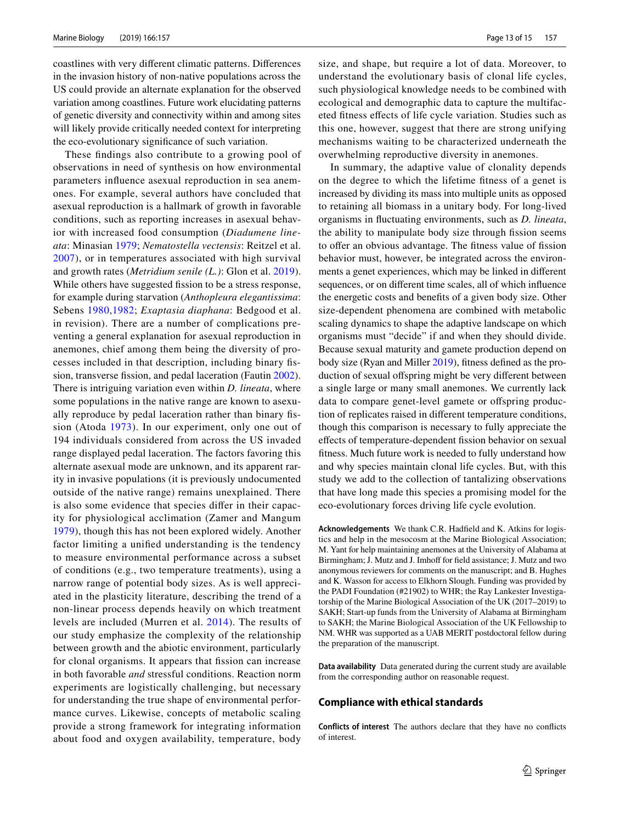coastlines with very diferent climatic patterns. Diferences in the invasion history of non-native populations across the US could provide an alternate explanation for the observed variation among coastlines. Future work elucidating patterns of genetic diversity and connectivity within and among sites will likely provide critically needed context for interpreting the eco-evolutionary signifcance of such variation.

These fndings also contribute to a growing pool of observations in need of synthesis on how environmental parameters infuence asexual reproduction in sea anemones. For example, several authors have concluded that asexual reproduction is a hallmark of growth in favorable conditions, such as reporting increases in asexual behavior with increased food consumption (*Diadumene lineata*: Minasian [1979;](#page-13-34) *Nematostella vectensis*: Reitzel et al. [2007](#page-14-19)), or in temperatures associated with high survival and growth rates (*Metridium senile (L.)*: Glon et al. [2019](#page-13-43)). While others have suggested fission to be a stress response, for example during starvation (*Anthopleura elegantissima*: Sebens [1980](#page-14-4),[1982](#page-14-16); *Exaptasia diaphana*: Bedgood et al. in revision). There are a number of complications preventing a general explanation for asexual reproduction in anemones, chief among them being the diversity of processes included in that description, including binary fs-sion, transverse fission, and pedal laceration (Fautin [2002](#page-13-0)). There is intriguing variation even within *D. lineata*, where some populations in the native range are known to asexually reproduce by pedal laceration rather than binary fssion (Atoda [1973\)](#page-13-44). In our experiment, only one out of 194 individuals considered from across the US invaded range displayed pedal laceration. The factors favoring this alternate asexual mode are unknown, and its apparent rarity in invasive populations (it is previously undocumented outside of the native range) remains unexplained. There is also some evidence that species difer in their capacity for physiological acclimation (Zamer and Mangum [1979\)](#page-14-20), though this has not been explored widely. Another factor limiting a unifed understanding is the tendency to measure environmental performance across a subset of conditions (e.g., two temperature treatments), using a narrow range of potential body sizes. As is well appreciated in the plasticity literature, describing the trend of a non-linear process depends heavily on which treatment levels are included (Murren et al. [2014\)](#page-13-45). The results of our study emphasize the complexity of the relationship between growth and the abiotic environment, particularly for clonal organisms. It appears that fission can increase in both favorable *and* stressful conditions. Reaction norm experiments are logistically challenging, but necessary for understanding the true shape of environmental performance curves. Likewise, concepts of metabolic scaling provide a strong framework for integrating information about food and oxygen availability, temperature, body size, and shape, but require a lot of data. Moreover, to understand the evolutionary basis of clonal life cycles, such physiological knowledge needs to be combined with ecological and demographic data to capture the multifaceted ftness efects of life cycle variation. Studies such as this one, however, suggest that there are strong unifying mechanisms waiting to be characterized underneath the overwhelming reproductive diversity in anemones.

In summary, the adaptive value of clonality depends on the degree to which the lifetime ftness of a genet is increased by dividing its mass into multiple units as opposed to retaining all biomass in a unitary body. For long-lived organisms in fuctuating environments, such as *D. lineata*, the ability to manipulate body size through fission seems to offer an obvious advantage. The fitness value of fission behavior must, however, be integrated across the environments a genet experiences, which may be linked in diferent sequences, or on diferent time scales, all of which infuence the energetic costs and benefts of a given body size. Other size-dependent phenomena are combined with metabolic scaling dynamics to shape the adaptive landscape on which organisms must "decide" if and when they should divide. Because sexual maturity and gamete production depend on body size (Ryan and Miller [2019\)](#page-14-8), ftness defned as the production of sexual offspring might be very different between a single large or many small anemones. We currently lack data to compare genet-level gamete or offspring production of replicates raised in diferent temperature conditions, though this comparison is necessary to fully appreciate the efects of temperature-dependent fssion behavior on sexual ftness. Much future work is needed to fully understand how and why species maintain clonal life cycles. But, with this study we add to the collection of tantalizing observations that have long made this species a promising model for the eco-evolutionary forces driving life cycle evolution.

**Acknowledgements** We thank C.R. Hadfeld and K. Atkins for logistics and help in the mesocosm at the Marine Biological Association; M. Yant for help maintaining anemones at the University of Alabama at Birmingham; J. Mutz and J. Imhoff for field assistance; J. Mutz and two anonymous reviewers for comments on the manuscript; and B. Hughes and K. Wasson for access to Elkhorn Slough. Funding was provided by the PADI Foundation (#21902) to WHR; the Ray Lankester Investigatorship of the Marine Biological Association of the UK (2017–2019) to SAKH; Start-up funds from the University of Alabama at Birmingham to SAKH; the Marine Biological Association of the UK Fellowship to NM. WHR was supported as a UAB MERIT postdoctoral fellow during the preparation of the manuscript.

**Data availability** Data generated during the current study are available from the corresponding author on reasonable request.

#### **Compliance with ethical standards**

**Conflicts of interest** The authors declare that they have no conficts of interest.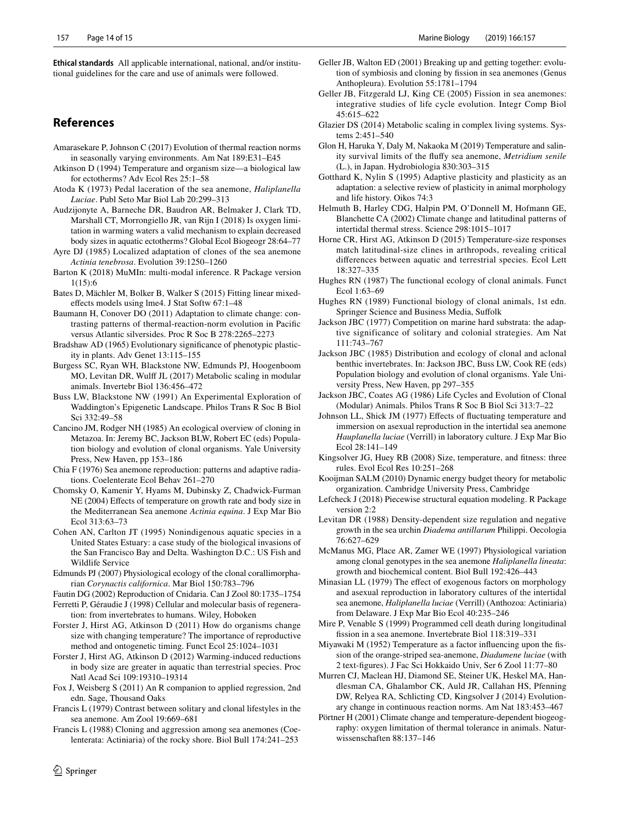**Ethical standards** All applicable international, national, and/or institutional guidelines for the care and use of animals were followed.

# **References**

- <span id="page-13-40"></span>Amarasekare P, Johnson C (2017) Evolution of thermal reaction norms in seasonally varying environments. Am Nat 189:E31–E45
- <span id="page-13-16"></span>Atkinson D (1994) Temperature and organism size—a biological law for ectotherms? Adv Ecol Res 25:1–58
- <span id="page-13-44"></span>Atoda K (1973) Pedal laceration of the sea anemone, *Haliplanella Luciae*. Publ Seto Mar Biol Lab 20:299–313
- <span id="page-13-20"></span>Audzijonyte A, Barneche DR, Baudron AR, Belmaker J, Clark TD, Marshall CT, Morrongiello JR, van Rijn I (2018) Is oxygen limitation in warming waters a valid mechanism to explain decreased body sizes in aquatic ectotherms? Global Ecol Biogeogr 28:64–77
- <span id="page-13-11"></span>Ayre DJ (1985) Localized adaptation of clones of the sea anemone *Actinia tenebrosa*. Evolution 39:1250–1260
- <span id="page-13-35"></span>Barton K (2018) MuMIn: multi-modal inference. R Package version 1(15):6
- <span id="page-13-37"></span>Bates D, Mächler M, Bolker B, Walker S (2015) Fitting linear mixedefects models using lme4. J Stat Softw 67:1–48
- <span id="page-13-39"></span>Baumann H, Conover DO (2011) Adaptation to climate change: contrasting patterns of thermal-reaction-norm evolution in Pacifc versus Atlantic silversides. Proc R Soc B 278:2265–2273
- <span id="page-13-31"></span>Bradshaw AD (1965) Evolutionary signifcance of phenotypic plasticity in plants. Adv Genet 13:115–155
- <span id="page-13-25"></span>Burgess SC, Ryan WH, Blackstone NW, Edmunds PJ, Hoogenboom MO, Levitan DR, Wulf JL (2017) Metabolic scaling in modular animals. Invertebr Biol 136:456–472
- <span id="page-13-27"></span>Buss LW, Blackstone NW (1991) An Experimental Exploration of Waddington's Epigenetic Landscape. Philos Trans R Soc B Biol Sci 332:49–58
- <span id="page-13-24"></span>Cancino JM, Rodger NH (1985) An ecological overview of cloning in Metazoa. In: Jeremy BC, Jackson BLW, Robert EC (eds) Population biology and evolution of clonal organisms. Yale University Press, New Haven, pp 153–186
- <span id="page-13-8"></span>Chia F (1976) Sea anemone reproduction: patterns and adaptive radiations. Coelenterate Ecol Behav 261–270
- <span id="page-13-30"></span>Chomsky O, Kamenir Y, Hyams M, Dubinsky Z, Chadwick-Furman NE (2004) Efects of temperature on growth rate and body size in the Mediterranean Sea anemone *Actinia equina*. J Exp Mar Bio Ecol 313:63–73
- <span id="page-13-32"></span>Cohen AN, Carlton JT (1995) Nonindigenous aquatic species in a United States Estuary: a case study of the biological invasions of the San Francisco Bay and Delta. Washington D.C.: US Fish and Wildlife Service
- <span id="page-13-13"></span>Edmunds PJ (2007) Physiological ecology of the clonal corallimorpharian *Corynactis californica*. Mar Biol 150:783–796
- <span id="page-13-0"></span>Fautin DG (2002) Reproduction of Cnidaria. Can J Zool 80:1735–1754
- <span id="page-13-7"></span>Ferretti P, Géraudie J (1998) Cellular and molecular basis of regeneration: from invertebrates to humans. Wiley, Hoboken
- <span id="page-13-42"></span>Forster J, Hirst AG, Atkinson D (2011) How do organisms change size with changing temperature? The importance of reproductive method and ontogenetic timing. Funct Ecol 25:1024–1031
- <span id="page-13-22"></span>Forster J, Hirst AG, Atkinson D (2012) Warming-induced reductions in body size are greater in aquatic than terrestrial species. Proc Natl Acad Sci 109:19310–19314
- <span id="page-13-36"></span>Fox J, Weisberg S (2011) An R companion to applied regression, 2nd edn. Sage, Thousand Oaks
- <span id="page-13-2"></span>Francis L (1979) Contrast between solitary and clonal lifestyles in the sea anemone. Am Zool 19:669–681
- <span id="page-13-3"></span>Francis L (1988) Cloning and aggression among sea anemones (Coelenterata: Actiniaria) of the rocky shore. Biol Bull 174:241–253
- <span id="page-13-14"></span>Geller JB, Walton ED (2001) Breaking up and getting together: evolution of symbiosis and cloning by fssion in sea anemones (Genus Anthopleura). Evolution 55:1781–1794
- <span id="page-13-1"></span>Geller JB, Fitzgerald LJ, King CE (2005) Fission in sea anemones: integrative studies of life cycle evolution. Integr Comp Biol 45:615–622
- <span id="page-13-18"></span>Glazier DS (2014) Metabolic scaling in complex living systems. Systems 2:451–540
- <span id="page-13-43"></span>Glon H, Haruka Y, Daly M, Nakaoka M (2019) Temperature and salinity survival limits of the fufy sea anemone, *Metridium senile* (L.), in Japan. Hydrobiologia 830:303–315
- <span id="page-13-28"></span>Gotthard K, Nylin S (1995) Adaptive plasticity and plasticity as an adaptation: a selective review of plasticity in animal morphology and life history. Oikos 74:3
- <span id="page-13-41"></span>Helmuth B, Harley CDG, Halpin PM, O'Donnell M, Hofmann GE, Blanchette CA (2002) Climate change and latitudinal patterns of intertidal thermal stress. Science 298:1015–1017
- <span id="page-13-23"></span>Horne CR, Hirst AG, Atkinson D (2015) Temperature-size responses match latitudinal-size clines in arthropods, revealing critical diferences between aquatic and terrestrial species. Ecol Lett 18:327–335
- <span id="page-13-5"></span>Hughes RN (1987) The functional ecology of clonal animals. Funct Ecol 1:63–69
- <span id="page-13-6"></span>Hughes RN (1989) Functional biology of clonal animals, 1st edn. Springer Science and Business Media, Sufolk
- <span id="page-13-4"></span>Jackson JBC (1977) Competition on marine hard substrata: the adaptive significance of solitary and colonial strategies. Am Nat 111:743–767
- <span id="page-13-9"></span>Jackson JBC (1985) Distribution and ecology of clonal and aclonal benthic invertebrates. In: Jackson JBC, Buss LW, Cook RE (eds) Population biology and evolution of clonal organisms. Yale University Press, New Haven, pp 297–355
- <span id="page-13-10"></span>Jackson JBC, Coates AG (1986) Life Cycles and Evolution of Clonal (Modular) Animals. Philos Trans R Soc B Biol Sci 313:7–22
- <span id="page-13-26"></span>Johnson LL, Shick JM (1977) Efects of fuctuating temperature and immersion on asexual reproduction in the intertidal sea anemone *Hauplanella luciae* (Verrill) in laboratory culture. J Exp Mar Bio Ecol 28:141–149
- <span id="page-13-19"></span>Kingsolver JG, Huey RB (2008) Size, temperature, and ftness: three rules. Evol Ecol Res 10:251–268
- <span id="page-13-17"></span>Kooijman SALM (2010) Dynamic energy budget theory for metabolic organization. Cambridge University Press, Cambridge
- <span id="page-13-38"></span>Lefcheck J (2018) Piecewise structural equation modeling. R Package version 2:2
- <span id="page-13-29"></span>Levitan DR (1988) Density-dependent size regulation and negative growth in the sea urchin *Diadema antillarum* Philippi. Oecologia 76:627–629
- <span id="page-13-12"></span>McManus MG, Place AR, Zamer WE (1997) Physiological variation among clonal genotypes in the sea anemone *Haliplanella lineata*: growth and biochemical content. Biol Bull 192:426–443
- <span id="page-13-34"></span>Minasian LL (1979) The effect of exogenous factors on morphology and asexual reproduction in laboratory cultures of the intertidal sea anemone, *Haliplanella luciae* (Verrill) (Anthozoa: Actiniaria) from Delaware. J Exp Mar Bio Ecol 40:235–246
- <span id="page-13-15"></span>Mire P, Venable S (1999) Programmed cell death during longitudinal fssion in a sea anemone. Invertebrate Biol 118:319–331
- <span id="page-13-33"></span>Miyawaki M (1952) Temperature as a factor infuencing upon the fssion of the orange-striped sea-anemone, *Diadumene luciae* (with 2 text-fgures). J Fac Sci Hokkaido Univ, Ser 6 Zool 11:77–80
- <span id="page-13-45"></span>Murren CJ, Maclean HJ, Diamond SE, Steiner UK, Heskel MA, Handlesman CA, Ghalambor CK, Auld JR, Callahan HS, Pfenning DW, Relyea RA, Schlicting CD, Kingsolver J (2014) Evolutionary change in continuous reaction norms. Am Nat 183:453–467
- <span id="page-13-21"></span>Pörtner H (2001) Climate change and temperature-dependent biogeography: oxygen limitation of thermal tolerance in animals. Naturwissenschaften 88:137–146